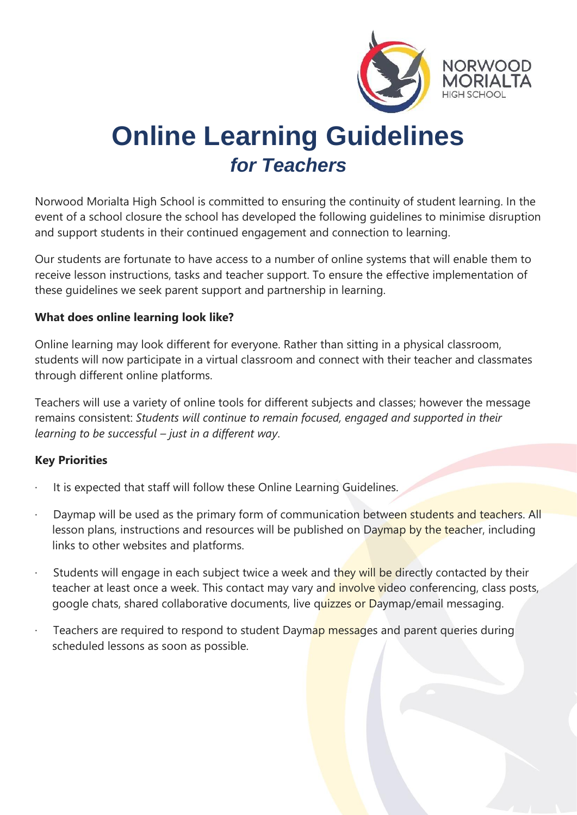

# **Online Learning Guidelines**  *for Teachers*

Norwood Morialta High School is committed to ensuring the continuity of student learning. In the event of a school closure the school has developed the following guidelines to minimise disruption and support students in their continued engagement and connection to learning.

Our students are fortunate to have access to a number of online systems that will enable them to receive lesson instructions, tasks and teacher support. To ensure the effective implementation of these guidelines we seek parent support and partnership in learning.

#### **What does online learning look like?**

Online learning may look different for everyone. Rather than sitting in a physical classroom, students will now participate in a virtual classroom and connect with their teacher and classmates through different online platforms.

Teachers will use a variety of online tools for different subjects and classes; however the message remains consistent: *Students will continue to remain focused, engaged and supported in their learning to be successful – just in a different way*.

#### **Key Priorities**

- It is expected that staff will follow these Online Learning Guidelines.
- Daymap will be used as the primary form of communication between students and teachers. All lesson plans, instructions and resources will be published on Daymap by the teacher, including links to other websites and platforms.
- Students will engage in each subject twice a week and they will be directly contacted by their teacher at least once a week. This contact may vary and involve video conferencing, class posts, google chats, shared collaborative documents, live quizzes or Daymap/email messaging.
- Teachers are required to respond to student Daymap messages and parent queries during scheduled lessons as soon as possible.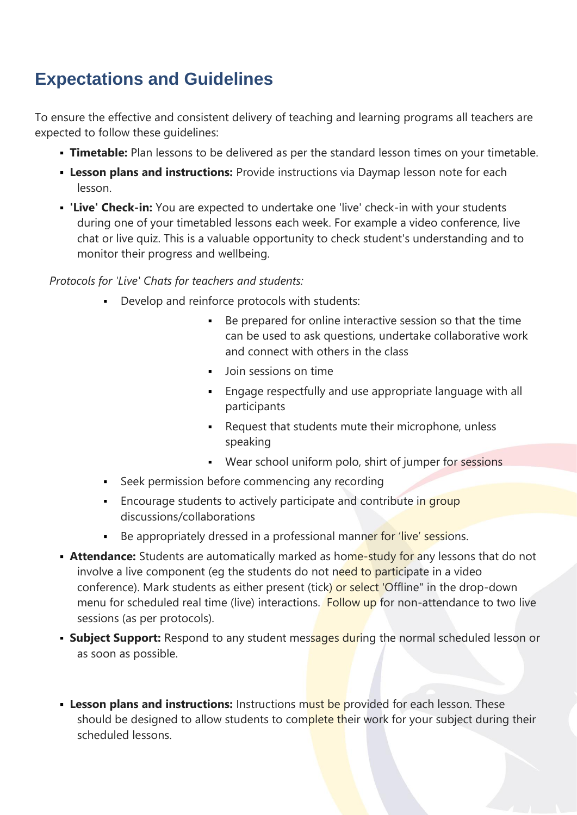## **Expectations and Guidelines**

To ensure the effective and consistent delivery of teaching and learning programs all teachers are expected to follow these guidelines:

- **Timetable:** Plan lessons to be delivered as per the standard lesson times on your timetable.
- **Lesson plans and instructions:** Provide instructions via Daymap lesson note for each lesson.
- **Example 20 Filter's Check-in:** You are expected to undertake one 'live' check-in with your students during one of your timetabled lessons each week. For example a video conference, live chat or live quiz. This is a valuable opportunity to check student's understanding and to monitor their progress and wellbeing.

#### *Protocols for 'Live' Chats for teachers and students:*

- Develop and reinforce protocols with students:
	- Be prepared for online interactive session so that the time can be used to ask questions, undertake collaborative work and connect with others in the class
	- Join sessions on time
	- Engage respectfully and use appropriate language with all participants
	- Request that students mute their microphone, unless speaking
	- Wear school uniform polo, shirt of jumper for sessions
- **Seek permission before commencing any recording**
- **Encourage students to actively participate and contribute in group** discussions/collaborations
- Be appropriately dressed in a professional manner for 'live' sessions.
- **Extra dance:** Students are automatically marked as home-study for any lessons that do not involve a live component (eg the students do not need to participate in a video conference). Mark students as either present (tick) or select 'Offline" in the drop-down menu for scheduled real time (live) interactions. Follow up for non-attendance to two live sessions (as per protocols).
- **Example Support:** Respond to any student messages during the normal scheduled lesson or as soon as possible.
- **Example 15 Instructions:** Instructions must be provided for each lesson. These should be designed to allow students to complete their work for your subject during their scheduled lessons.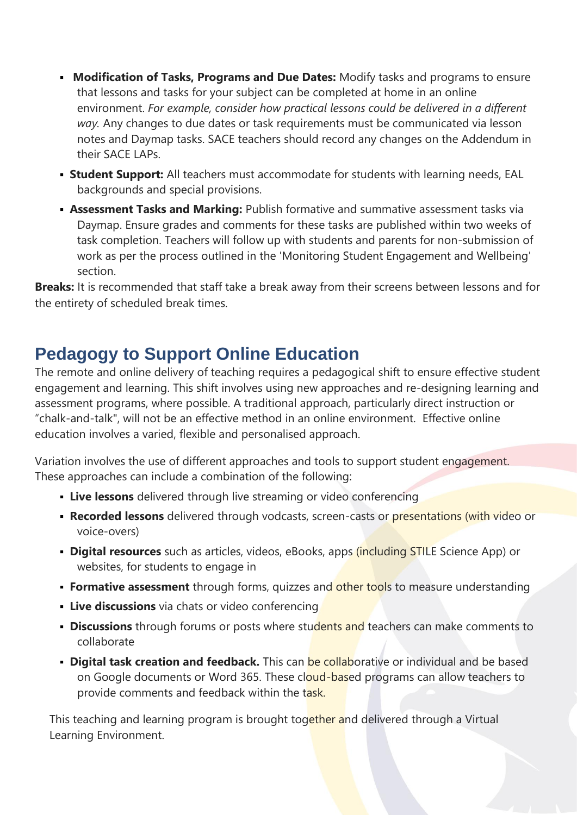- **Modification of Tasks, Programs and Due Dates:** Modify tasks and programs to ensure that lessons and tasks for your subject can be completed at home in an online environment. *For example, consider how practical lessons could be delivered in a different way.* Any changes to due dates or task requirements must be communicated via lesson notes and Daymap tasks. SACE teachers should record any changes on the Addendum in their SACE LAPs.
- **Example 1 Student Support:** All teachers must accommodate for students with learning needs, EAL backgrounds and special provisions.
- **Exament Tasks and Marking:** Publish formative and summative assessment tasks via Daymap. Ensure grades and comments for these tasks are published within two weeks of task completion. Teachers will follow up with students and parents for non-submission of work as per the process outlined in the 'Monitoring Student Engagement and Wellbeing' section.

**Breaks:** It is recommended that staff take a break away from their screens between lessons and for the entirety of scheduled break times.

### **Pedagogy to Support Online Education**

The remote and online delivery of teaching requires a pedagogical shift to ensure effective student engagement and learning. This shift involves using new approaches and re-designing learning and assessment programs, where possible. A traditional approach, particularly direct instruction or "chalk-and-talk", will not be an effective method in an online environment. Effective online education involves a varied, flexible and personalised approach.

Variation involves the use of different approaches and tools to support student engagement. These approaches can include a combination of the following:

- **Live lessons** delivered through live streaming or video conferencing
- **Recorded lessons** delivered through vodcasts, screen-casts or presentations (with video or voice-overs)
- **Digital resources** such as articles, videos, eBooks, apps (including STILE Science App) or websites, for students to engage in
- **Formative assessment** through forms, quizzes and other tools to measure understanding
- **Live discussions** via chats or video conferencing
- **Discussions** through forums or posts where students and teachers can make comments to collaborate
- **Digital task creation and feedback.** This can be collaborative or individual and be based on Google documents or Word 365. These cloud-based programs can allow teachers to provide comments and feedback within the task.

This teaching and learning program is brought together and delivered through a Virtual Learning Environment.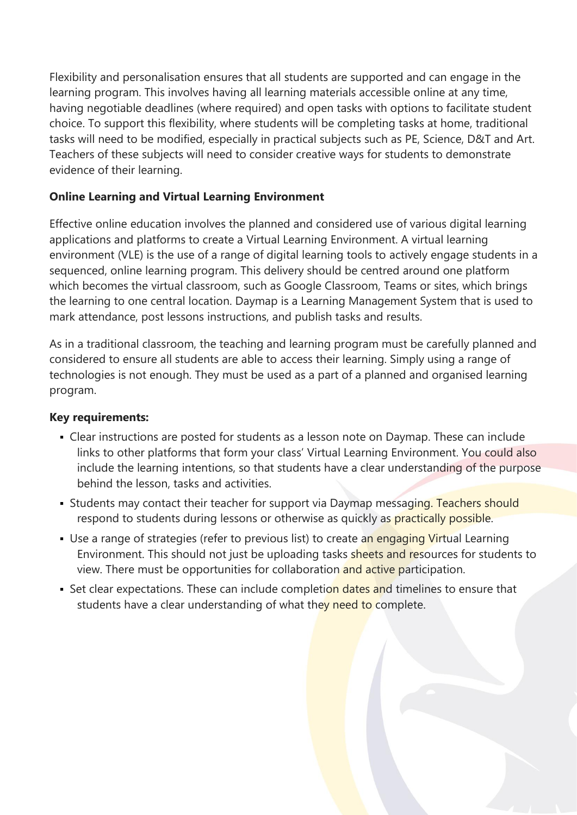Flexibility and personalisation ensures that all students are supported and can engage in the learning program. This involves having all learning materials accessible online at any time, having negotiable deadlines (where required) and open tasks with options to facilitate student choice. To support this flexibility, where students will be completing tasks at home, traditional tasks will need to be modified, especially in practical subjects such as PE, Science, D&T and Art. Teachers of these subjects will need to consider creative ways for students to demonstrate evidence of their learning.

#### **Online Learning and Virtual Learning Environment**

Effective online education involves the planned and considered use of various digital learning applications and platforms to create a Virtual Learning Environment. A virtual learning environment (VLE) is the use of a range of digital learning tools to actively engage students in a sequenced, online learning program. This delivery should be centred around one platform which becomes the virtual classroom, such as Google Classroom, Teams or sites, which brings the learning to one central location. Daymap is a Learning Management System that is used to mark attendance, post lessons instructions, and publish tasks and results.

As in a traditional classroom, the teaching and learning program must be carefully planned and considered to ensure all students are able to access their learning. Simply using a range of technologies is not enough. They must be used as a part of a planned and organised learning program.

#### **Key requirements:**

- Clear instructions are posted for students as a lesson note on Daymap. These can include links to other platforms that form your class' Virtual Learning Environment. You could also include the learning intentions, so that students have a clear understanding of the purpose behind the lesson, tasks and activities.
- Students may contact their teacher for support via Daymap messaging. Teachers should respond to students during lessons or otherwise as quickly as practically possible.
- Use a range of strategies (refer to previous list) to create an engaging Virtual Learning Environment. This should not just be uploading tasks sheets and resources for students to view. There must be opportunities for collaboration and active participation.
- **EXECT** Set clear expectations. These can include completion dates and timelines to ensure that students have a clear understanding of what they need to complete.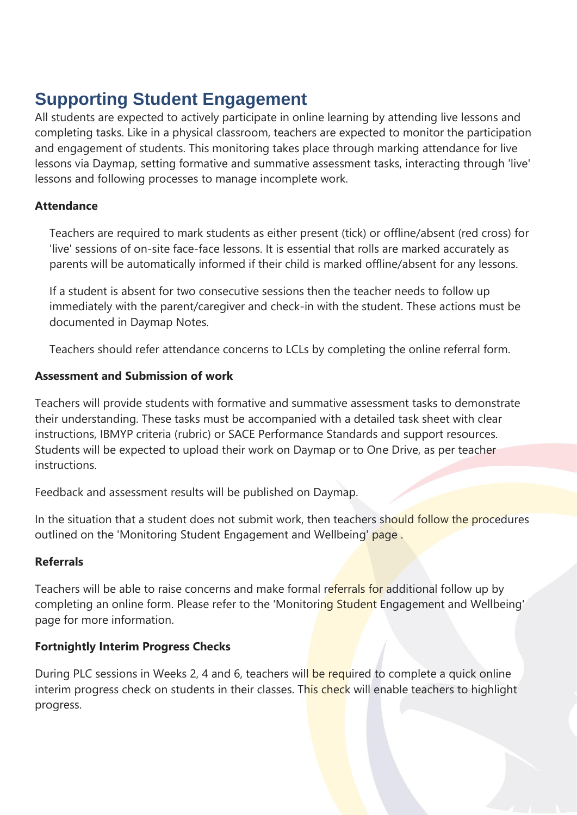# **Supporting Student Engagement**

All students are expected to actively participate in online learning by attending live lessons and completing tasks. Like in a physical classroom, teachers are expected to monitor the participation and engagement of students. This monitoring takes place through marking attendance for live lessons via Daymap, setting formative and summative assessment tasks, interacting through 'live' lessons and following processes to manage incomplete work.

#### **Attendance**

Teachers are required to mark students as either present (tick) or offline/absent (red cross) for 'live' sessions of on-site face-face lessons. It is essential that rolls are marked accurately as parents will be automatically informed if their child is marked offline/absent for any lessons.

If a student is absent for two consecutive sessions then the teacher needs to follow up immediately with the parent/caregiver and check-in with the student. These actions must be documented in Daymap Notes.

Teachers should refer attendance concerns to LCLs by completing the online referral form.

#### **Assessment and Submission of work**

Teachers will provide students with formative and summative assessment tasks to demonstrate their understanding. These tasks must be accompanied with a detailed task sheet with clear instructions, IBMYP criteria (rubric) or SACE Performance Standards and support resources. Students will be expected to upload their work on Daymap or to One Drive, as per teacher instructions.

Feedback and assessment results will be published on Daymap.

In the situation that a student does not submit work, then teachers should follow the procedures outlined on the 'Monitoring Student Engagement and Wellbeing' page.

#### **Referrals**

Teachers will be able to raise concerns and make formal referrals for additional follow up by completing an online form. Please refer to the 'Monitoring Student Engagement and Wellbeing' page for more information.

#### **Fortnightly Interim Progress Checks**

During PLC sessions in Weeks 2, 4 and 6, teachers will be required to complete a quick online interim progress check on students in their classes. This check will enable teachers to highlight progress.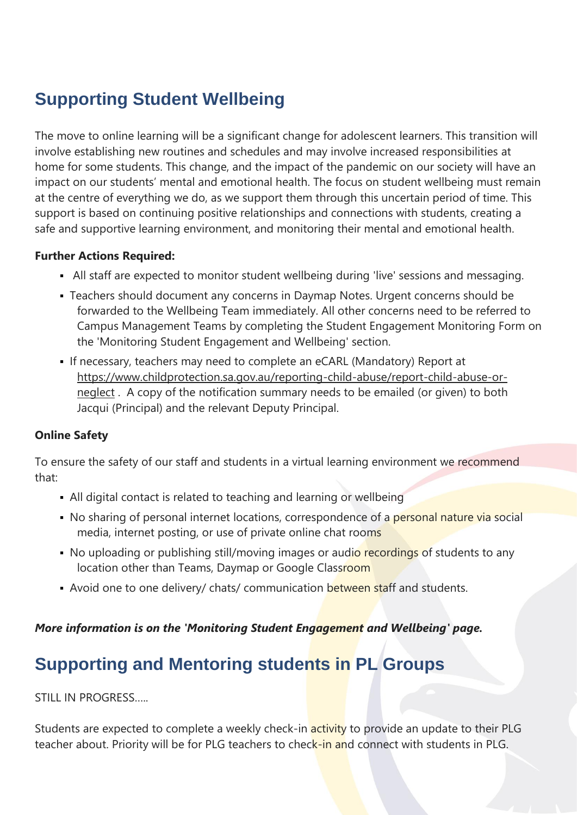# **Supporting Student Wellbeing**

The move to online learning will be a significant change for adolescent learners. This transition will involve establishing new routines and schedules and may involve increased responsibilities at home for some students. This change, and the impact of the pandemic on our society will have an impact on our students' mental and emotional health. The focus on student wellbeing must remain at the centre of everything we do, as we support them through this uncertain period of time. This support is based on continuing positive relationships and connections with students, creating a safe and supportive learning environment, and monitoring their mental and emotional health.

#### **Further Actions Required:**

- **EXTEND 15 All staff are expected to monitor student wellbeing during 'live' sessions and messaging.**
- **· Teachers should document any concerns in Daymap Notes. Urgent concerns should be** forwarded to the Wellbeing Team immediately. All other concerns need to be referred to Campus Management Teams by completing the Student Engagement Monitoring Form on the 'Monitoring Student Engagement and Wellbeing' section.
- **.** If necessary, teachers may need to complete an eCARL (Mandatory) Report at [https://www.childprotection.sa.gov.au/reporting-child-abuse/report-child-abuse-or](https://www.childprotection.sa.gov.au/reporting-child-abuse/report-child-abuse-or-neglect)[neglect](https://www.childprotection.sa.gov.au/reporting-child-abuse/report-child-abuse-or-neglect) . A copy of the notification summary needs to be emailed (or given) to both Jacqui (Principal) and the relevant Deputy Principal.

#### **Online Safety**

To ensure the safety of our staff and students in a virtual learning environment we recommend that:

- All digital contact is related to teaching and learning or wellbeing
- No sharing of personal internet locations, correspondence of a personal nature via social media, internet posting, or use of private online chat rooms
- No uploading or publishing still/moving images or audio recordings of students to any location other than Teams, Daymap or Google Classroom
- Avoid one to one delivery/ chats/ communication between staff and students.

#### *More information is on the 'Monitoring Student Engagement and Wellbeing' page.*

## **Supporting and Mentoring students in PL Groups**

STILL IN PROGRESS…..

Students are expected to complete a weekly check-in **activity** to provide an update to their PLG teacher about. Priority will be for PLG teachers to check-in and connect with students in PLG.